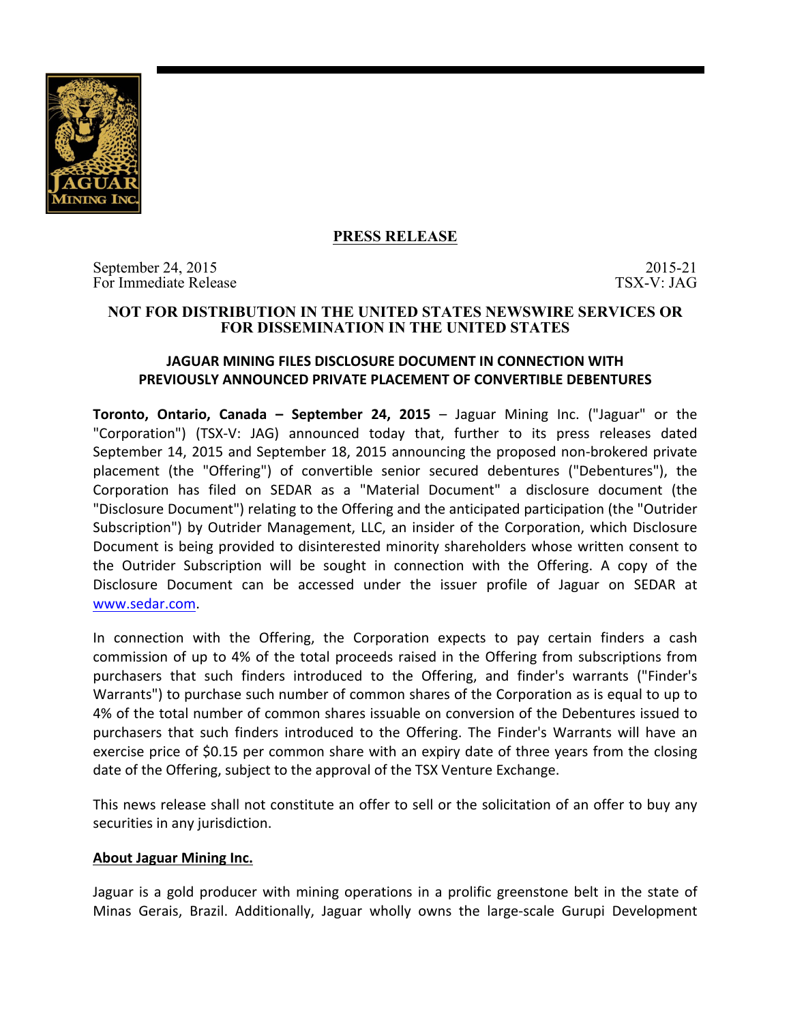

## **PRESS RELEASE**

September 24, 2015 2015 2015 2015 For Immediate Release TSX-V: JAG

### **NOT FOR DISTRIBUTION IN THE UNITED STATES NEWSWIRE SERVICES OR FOR DISSEMINATION IN THE UNITED STATES**

# **JAGUAR MINING FILES DISCLOSURE DOCUMENT IN CONNECTION WITH PREVIOUSLY ANNOUNCED PRIVATE PLACEMENT OF CONVERTIBLE DEBENTURES**

**Toronto, Ontario, Canada – September 24, 2015** – Jaguar Mining Inc. ("Jaguar" or the "Corporation") (TSX-V: JAG) announced today that, further to its press releases dated September 14, 2015 and September 18, 2015 announcing the proposed non-brokered private placement (the "Offering") of convertible senior secured debentures ("Debentures"), the Corporation has filed on SEDAR as a "Material Document" a disclosure document (the "Disclosure Document") relating to the Offering and the anticipated participation (the "Outrider Subscription") by Outrider Management, LLC, an insider of the Corporation, which Disclosure Document is being provided to disinterested minority shareholders whose written consent to the Outrider Subscription will be sought in connection with the Offering. A copy of the Disclosure Document can be accessed under the issuer profile of Jaguar on SEDAR at www.sedar.com.

In connection with the Offering, the Corporation expects to pay certain finders a cash commission of up to 4% of the total proceeds raised in the Offering from subscriptions from purchasers that such finders introduced to the Offering, and finder's warrants ("Finder's Warrants") to purchase such number of common shares of the Corporation as is equal to up to 4% of the total number of common shares issuable on conversion of the Debentures issued to purchasers that such finders introduced to the Offering. The Finder's Warrants will have an exercise price of \$0.15 per common share with an expiry date of three years from the closing date of the Offering, subject to the approval of the TSX Venture Exchange.

This news release shall not constitute an offer to sell or the solicitation of an offer to buy any securities in any jurisdiction.

### **About Jaguar Mining Inc.**

Jaguar is a gold producer with mining operations in a prolific greenstone belt in the state of Minas Gerais, Brazil. Additionally, Jaguar wholly owns the large-scale Gurupi Development